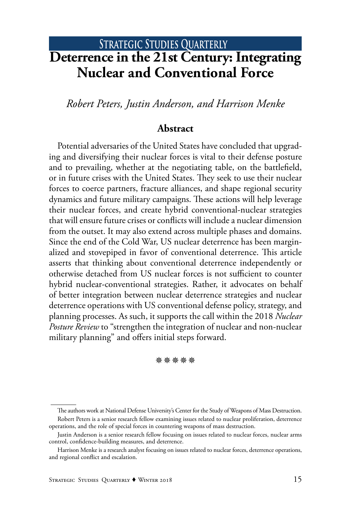# **STRATEGIC STUDIES QUARTERLY Deterrence in the 21st Century: Integrating Nuclear and Conventional Force**

*Robert Peters, Justin Anderson, and Harrison Menke*

#### **Abstract**

Potential adversaries of the United States have concluded that upgrading and diversifying their nuclear forces is vital to their defense posture and to prevailing, whether at the negotiating table, on the battlefield, or in future crises with the United States. They seek to use their nuclear forces to coerce partners, fracture alliances, and shape regional security dynamics and future military campaigns. These actions will help leverage their nuclear forces, and create hybrid conventional-nuclear strategies that will ensure future crises or conflicts will include a nuclear dimension from the outset. It may also extend across multiple phases and domains. Since the end of the Cold War, US nuclear deterrence has been marginalized and stovepiped in favor of conventional deterrence. This article asserts that thinking about conventional deterrence independently or otherwise detached from US nuclear forces is not sufficient to counter hybrid nuclear-conventional strategies. Rather, it advocates on behalf of better integration between nuclear deterrence strategies and nuclear deterrence operations with US conventional defense policy, strategy, and planning processes. As such, it supports the call within the 2018 *Nuclear Posture Review* to "strengthen the integration of nuclear and non-nuclear military planning" and offers initial steps forward.

**涤涤涤涤涤** 

The authors work at National Defense University's Center for the Study of Weapons of Mass Destruction. Robert Peters is a senior research fellow examining issues related to nuclear proliferation, deterrence operations, and the role of special forces in countering weapons of mass destruction.

Justin Anderson is a senior research fellow focusing on issues related to nuclear forces, nuclear arms control, confidence-building measures, and deterrence.

Harrison Menke is a research analyst focusing on issues related to nuclear forces, deterrence operations, and regional conflict and escalation.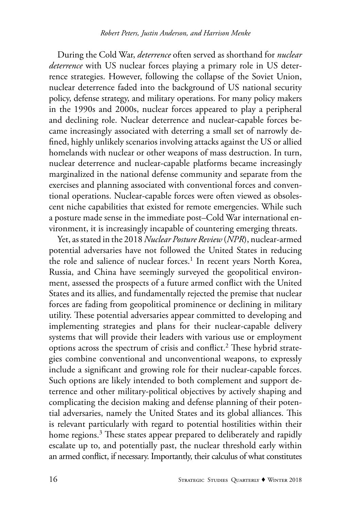During the Cold War, *deterrence* often served as shorthand for *nuclear deterrence* with US nuclear forces playing a primary role in US deterrence strategies. However, following the collapse of the Soviet Union, nuclear deterrence faded into the background of US national security policy, defense strategy, and military operations. For many policy makers in the 1990s and 2000s, nuclear forces appeared to play a peripheral and declining role. Nuclear deterrence and nuclear-capable forces became increasingly associated with deterring a small set of narrowly defined, highly unlikely scenarios involving attacks against the US or allied homelands with nuclear or other weapons of mass destruction. In turn, nuclear deterrence and nuclear-capable platforms became increasingly marginalized in the national defense community and separate from the exercises and planning associated with conventional forces and conventional operations. Nuclear-capable forces were often viewed as obsolescent niche capabilities that existed for remote emergencies. While such a posture made sense in the immediate post–Cold War international environment, it is increasingly incapable of countering emerging threats.

Yet, as stated in the 2018 *Nuclear Posture Review* (*NPR*), nuclear-armed potential adversaries have not followed the United States in reducing the role and salience of nuclear forces.<sup>1</sup> In recent years North Korea, Russia, and China have seemingly surveyed the geopolitical environment, assessed the prospects of a future armed conflict with the United States and its allies, and fundamentally rejected the premise that nuclear forces are fading from geopolitical prominence or declining in military utility. These potential adversaries appear committed to developing and implementing strategies and plans for their nuclear-capable delivery systems that will provide their leaders with various use or employment options across the spectrum of crisis and conflict.<sup>2</sup> These hybrid strategies combine conventional and unconventional weapons, to expressly include a significant and growing role for their nuclear-capable forces. Such options are likely intended to both complement and support deterrence and other military-political objectives by actively shaping and complicating the decision making and defense planning of their potential adversaries, namely the United States and its global alliances. This is relevant particularly with regard to potential hostilities within their home regions.<sup>3</sup> These states appear prepared to deliberately and rapidly escalate up to, and potentially past, the nuclear threshold early within an armed conflict, if necessary. Importantly, their calculus of what constitutes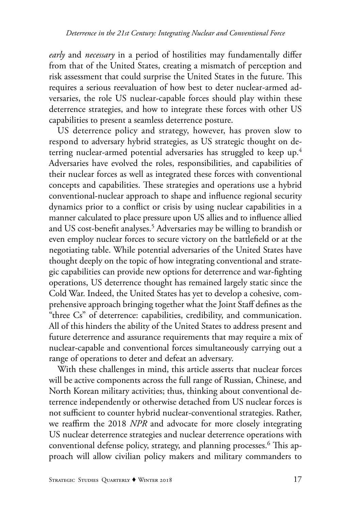*early* and *necessary* in a period of hostilities may fundamentally differ from that of the United States, creating a mismatch of perception and risk assessment that could surprise the United States in the future. This requires a serious reevaluation of how best to deter nuclear-armed adversaries, the role US nuclear-capable forces should play within these deterrence strategies, and how to integrate these forces with other US capabilities to present a seamless deterrence posture.

US deterrence policy and strategy, however, has proven slow to respond to adversary hybrid strategies, as US strategic thought on deterring nuclear-armed potential adversaries has struggled to keep up.<sup>4</sup> Adversaries have evolved the roles, responsibilities, and capabilities of their nuclear forces as well as integrated these forces with conventional concepts and capabilities. These strategies and operations use a hybrid conventional-nuclear approach to shape and influence regional security dynamics prior to a conflict or crisis by using nuclear capabilities in a manner calculated to place pressure upon US allies and to influence allied and US cost-benefit analyses.<sup>5</sup> Adversaries may be willing to brandish or even employ nuclear forces to secure victory on the battlefield or at the negotiating table. While potential adversaries of the United States have thought deeply on the topic of how integrating conventional and strategic capabilities can provide new options for deterrence and war-fighting operations, US deterrence thought has remained largely static since the Cold War. Indeed, the United States has yet to develop a cohesive, comprehensive approach bringing together what the Joint Staff defines as the "three Cs" of deterrence: capabilities, credibility, and communication. All of this hinders the ability of the United States to address present and future deterrence and assurance requirements that may require a mix of nuclear-capable and conventional forces simultaneously carrying out a range of operations to deter and defeat an adversary.

With these challenges in mind, this article asserts that nuclear forces will be active components across the full range of Russian, Chinese, and North Korean military activities; thus, thinking about conventional deterrence independently or otherwise detached from US nuclear forces is not sufficient to counter hybrid nuclear-conventional strategies. Rather, we reaffirm the 2018 *NPR* and advocate for more closely integrating US nuclear deterrence strategies and nuclear deterrence operations with conventional defense policy, strategy, and planning processes.6 This approach will allow civilian policy makers and military commanders to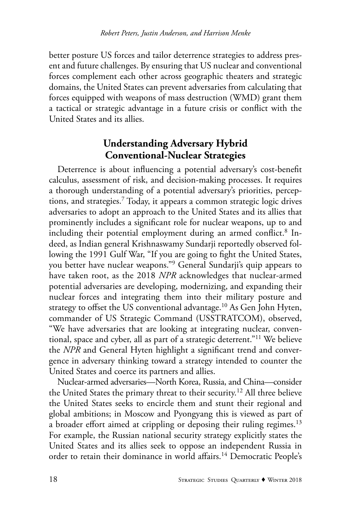better posture US forces and tailor deterrence strategies to address present and future challenges. By ensuring that US nuclear and conventional forces complement each other across geographic theaters and strategic domains, the United States can prevent adversaries from calculating that forces equipped with weapons of mass destruction (WMD) grant them a tactical or strategic advantage in a future crisis or conflict with the United States and its allies.

## **Understanding Adversary Hybrid Conventional-Nuclear Strategies**

Deterrence is about influencing a potential adversary's cost-benefit calculus, assessment of risk, and decision-making processes. It requires a thorough understanding of a potential adversary's priorities, perceptions, and strategies.7 Today, it appears a common strategic logic drives adversaries to adopt an approach to the United States and its allies that prominently includes a significant role for nuclear weapons, up to and including their potential employment during an armed conflict.<sup>8</sup> Indeed, as Indian general Krishnaswamy Sundarji reportedly observed following the 1991 Gulf War, "If you are going to fight the United States, you better have nuclear weapons."9 General Sundarji's quip appears to have taken root, as the 2018 *NPR* acknowledges that nuclear-armed potential adversaries are developing, modernizing, and expanding their nuclear forces and integrating them into their military posture and strategy to offset the US conventional advantage.<sup>10</sup> As Gen John Hyten, commander of US Strategic Command (USSTRATCOM), observed, "We have adversaries that are looking at integrating nuclear, conventional, space and cyber, all as part of a strategic deterrent."11 We believe the *NPR* and General Hyten highlight a significant trend and convergence in adversary thinking toward a strategy intended to counter the United States and coerce its partners and allies.

Nuclear-armed adversaries—North Korea, Russia, and China—consider the United States the primary threat to their security.<sup>12</sup> All three believe the United States seeks to encircle them and stunt their regional and global ambitions; in Moscow and Pyongyang this is viewed as part of a broader effort aimed at crippling or deposing their ruling regimes.<sup>13</sup> For example, the Russian national security strategy explicitly states the United States and its allies seek to oppose an independent Russia in order to retain their dominance in world affairs.<sup>14</sup> Democratic People's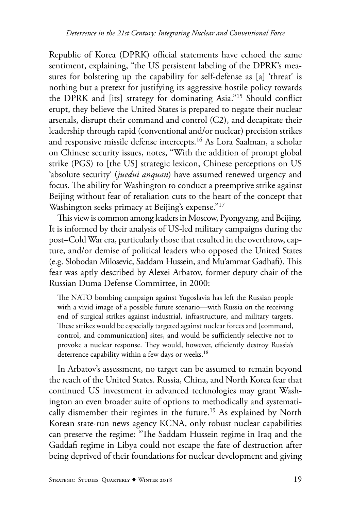Republic of Korea (DPRK) official statements have echoed the same sentiment, explaining, "the US persistent labeling of the DPRK's measures for bolstering up the capability for self-defense as [a] 'threat' is nothing but a pretext for justifying its aggressive hostile policy towards the DPRK and [its] strategy for dominating Asia."15 Should conflict erupt, they believe the United States is prepared to negate their nuclear arsenals, disrupt their command and control (C2), and decapitate their leadership through rapid (conventional and/or nuclear) precision strikes and responsive missile defense intercepts.16 As Lora Saalman, a scholar on Chinese security issues, notes, "With the addition of prompt global strike (PGS) to [the US] strategic lexicon, Chinese perceptions on US 'absolute security' (*juedui anquan*) have assumed renewed urgency and focus. The ability for Washington to conduct a preemptive strike against Beijing without fear of retaliation cuts to the heart of the concept that Washington seeks primacy at Beijing's expense."<sup>17</sup>

This view is common among leaders in Moscow, Pyongyang, and Beijing. It is informed by their analysis of US-led military campaigns during the post–Cold War era, particularly those that resulted in the overthrow, capture, and/or demise of political leaders who opposed the United States (e.g. Slobodan Milosevic, Saddam Hussein, and Mu'ammar Gadhafi). This fear was aptly described by Alexei Arbatov, former deputy chair of the Russian Duma Defense Committee, in 2000:

The NATO bombing campaign against Yugoslavia has left the Russian people with a vivid image of a possible future scenario—with Russia on the receiving end of surgical strikes against industrial, infrastructure, and military targets. These strikes would be especially targeted against nuclear forces and [command, control, and communication] sites, and would be sufficiently selective not to provoke a nuclear response. They would, however, efficiently destroy Russia's deterrence capability within a few days or weeks.<sup>18</sup>

In Arbatov's assessment, no target can be assumed to remain beyond the reach of the United States. Russia, China, and North Korea fear that continued US investment in advanced technologies may grant Washington an even broader suite of options to methodically and systematically dismember their regimes in the future.<sup>19</sup> As explained by North Korean state-run news agency KCNA, only robust nuclear capabilities can preserve the regime: "The Saddam Hussein regime in Iraq and the Gaddafi regime in Libya could not escape the fate of destruction after being deprived of their foundations for nuclear development and giving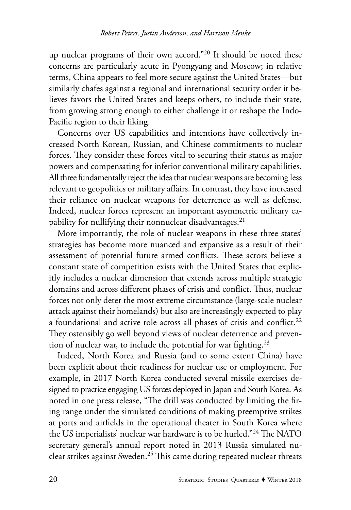up nuclear programs of their own accord."<sup>20</sup> It should be noted these concerns are particularly acute in Pyongyang and Moscow; in relative terms, China appears to feel more secure against the United States—but similarly chafes against a regional and international security order it believes favors the United States and keeps others, to include their state, from growing strong enough to either challenge it or reshape the Indo-Pacific region to their liking.

Concerns over US capabilities and intentions have collectively increased North Korean, Russian, and Chinese commitments to nuclear forces. They consider these forces vital to securing their status as major powers and compensating for inferior conventional military capabilities. All three fundamentally reject the idea that nuclear weapons are becoming less relevant to geopolitics or military affairs. In contrast, they have increased their reliance on nuclear weapons for deterrence as well as defense. Indeed, nuclear forces represent an important asymmetric military capability for nullifying their nonnuclear disadvantages. $21$ 

More importantly, the role of nuclear weapons in these three states' strategies has become more nuanced and expansive as a result of their assessment of potential future armed conflicts. These actors believe a constant state of competition exists with the United States that explicitly includes a nuclear dimension that extends across multiple strategic domains and across different phases of crisis and conflict. Thus, nuclear forces not only deter the most extreme circumstance (large-scale nuclear attack against their homelands) but also are increasingly expected to play a foundational and active role across all phases of crisis and conflict.<sup>22</sup> They ostensibly go well beyond views of nuclear deterrence and prevention of nuclear war, to include the potential for war fighting.<sup>23</sup>

Indeed, North Korea and Russia (and to some extent China) have been explicit about their readiness for nuclear use or employment. For example, in 2017 North Korea conducted several missile exercises designed to practice engaging US forces deployed in Japan and South Korea. As noted in one press release, "The drill was conducted by limiting the firing range under the simulated conditions of making preemptive strikes at ports and airfields in the operational theater in South Korea where the US imperialists' nuclear war hardware is to be hurled."24 The NATO secretary general's annual report noted in 2013 Russia simulated nuclear strikes against Sweden.<sup>25</sup> This came during repeated nuclear threats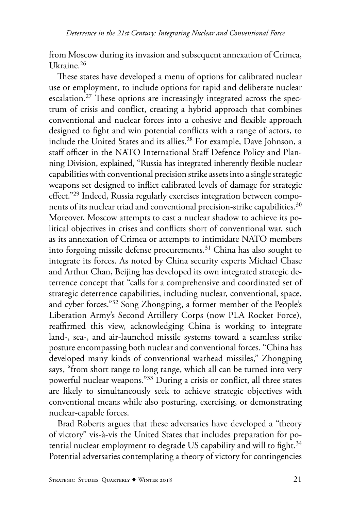from Moscow during its invasion and subsequent annexation of Crimea, Ukraine.26

These states have developed a menu of options for calibrated nuclear use or employment, to include options for rapid and deliberate nuclear escalation.<sup>27</sup> These options are increasingly integrated across the spectrum of crisis and conflict, creating a hybrid approach that combines conventional and nuclear forces into a cohesive and flexible approach designed to fight and win potential conflicts with a range of actors, to include the United States and its allies.<sup>28</sup> For example, Dave Johnson, a staff officer in the NATO International Staff Defence Policy and Planning Division, explained, "Russia has integrated inherently flexible nuclear capabilities with conventional precision strike assets into a single strategic weapons set designed to inflict calibrated levels of damage for strategic effect."29 Indeed, Russia regularly exercises integration between components of its nuclear triad and conventional precision-strike capabilities.<sup>30</sup> Moreover, Moscow attempts to cast a nuclear shadow to achieve its political objectives in crises and conflicts short of conventional war, such as its annexation of Crimea or attempts to intimidate NATO members into forgoing missile defense procurements.<sup>31</sup> China has also sought to integrate its forces. As noted by China security experts Michael Chase and Arthur Chan, Beijing has developed its own integrated strategic deterrence concept that "calls for a comprehensive and coordinated set of strategic deterrence capabilities, including nuclear, conventional, space, and cyber forces."32 Song Zhongping, a former member of the People's Liberation Army's Second Artillery Corps (now PLA Rocket Force), reaffirmed this view, acknowledging China is working to integrate land-, sea-, and air-launched missile systems toward a seamless strike posture encompassing both nuclear and conventional forces. "China has developed many kinds of conventional warhead missiles," Zhongping says, "from short range to long range, which all can be turned into very powerful nuclear weapons."33 During a crisis or conflict, all three states are likely to simultaneously seek to achieve strategic objectives with conventional means while also posturing, exercising, or demonstrating nuclear-capable forces.

Brad Roberts argues that these adversaries have developed a "theory of victory" vis-à-vis the United States that includes preparation for potential nuclear employment to degrade US capability and will to fight. $34$ Potential adversaries contemplating a theory of victory for contingencies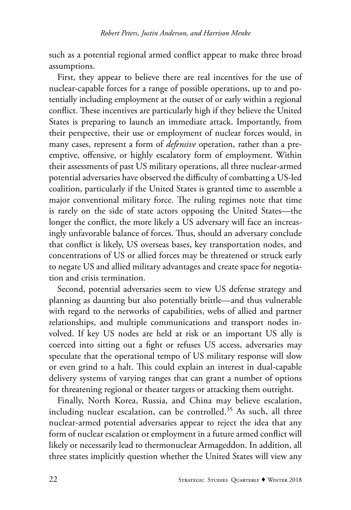such as a potential regional armed conflict appear to make three broad assumptions.

First, they appear to believe there are real incentives for the use of nuclear-capable forces for a range of possible operations, up to and potentially including employment at the outset of or early within a regional conflict. These incentives are particularly high if they believe the United States is preparing to launch an immediate attack. Importantly, from their perspective, their use or employment of nuclear forces would, in many cases, represent a form of *defensive* operation, rather than a preemptive, offensive, or highly escalatory form of employment. Within their assessments of past US military operations, all three nuclear-armed potential adversaries have observed the difficulty of combatting a US-led coalition, particularly if the United States is granted time to assemble a major conventional military force. The ruling regimes note that time is rarely on the side of state actors opposing the United States—the longer the conflict, the more likely a US adversary will face an increasingly unfavorable balance of forces. Thus, should an adversary conclude that conflict is likely, US overseas bases, key transportation nodes, and concentrations of US or allied forces may be threatened or struck early to negate US and allied military advantages and create space for negotiation and crisis termination.

Second, potential adversaries seem to view US defense strategy and planning as daunting but also potentially brittle—and thus vulnerable with regard to the networks of capabilities, webs of allied and partner relationships, and multiple communications and transport nodes involved. If key US nodes are held at risk or an important US ally is coerced into sitting out a fight or refuses US access, adversaries may speculate that the operational tempo of US military response will slow or even grind to a halt. This could explain an interest in dual-capable delivery systems of varying ranges that can grant a number of options for threatening regional or theater targets or attacking them outright.

Finally, North Korea, Russia, and China may believe escalation, including nuclear escalation, can be controlled.<sup>35</sup> As such, all three nuclear-armed potential adversaries appear to reject the idea that any form of nuclear escalation or employment in a future armed conflict will likely or necessarily lead to thermonuclear Armageddon. In addition, all three states implicitly question whether the United States will view any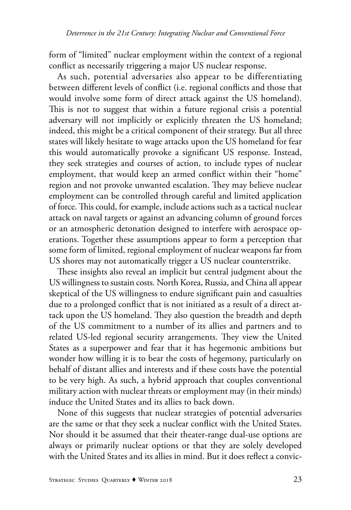form of "limited" nuclear employment within the context of a regional conflict as necessarily triggering a major US nuclear response.

As such, potential adversaries also appear to be differentiating between different levels of conflict (i.e. regional conflicts and those that would involve some form of direct attack against the US homeland). This is not to suggest that within a future regional crisis a potential adversary will not implicitly or explicitly threaten the US homeland; indeed, this might be a critical component of their strategy. But all three states will likely hesitate to wage attacks upon the US homeland for fear this would automatically provoke a significant US response. Instead, they seek strategies and courses of action, to include types of nuclear employment, that would keep an armed conflict within their "home" region and not provoke unwanted escalation. They may believe nuclear employment can be controlled through careful and limited application of force. This could, for example, include actions such as a tactical nuclear attack on naval targets or against an advancing column of ground forces or an atmospheric detonation designed to interfere with aerospace operations. Together these assumptions appear to form a perception that some form of limited, regional employment of nuclear weapons far from US shores may not automatically trigger a US nuclear counterstrike.

These insights also reveal an implicit but central judgment about the US willingness to sustain costs. North Korea, Russia, and China all appear skeptical of the US willingness to endure significant pain and casualties due to a prolonged conflict that is not initiated as a result of a direct attack upon the US homeland. They also question the breadth and depth of the US commitment to a number of its allies and partners and to related US-led regional security arrangements. They view the United States as a superpower and fear that it has hegemonic ambitions but wonder how willing it is to bear the costs of hegemony, particularly on behalf of distant allies and interests and if these costs have the potential to be very high. As such, a hybrid approach that couples conventional military action with nuclear threats or employment may (in their minds) induce the United States and its allies to back down.

None of this suggests that nuclear strategies of potential adversaries are the same or that they seek a nuclear conflict with the United States. Nor should it be assumed that their theater-range dual-use options are always or primarily nuclear options or that they are solely developed with the United States and its allies in mind. But it does reflect a convic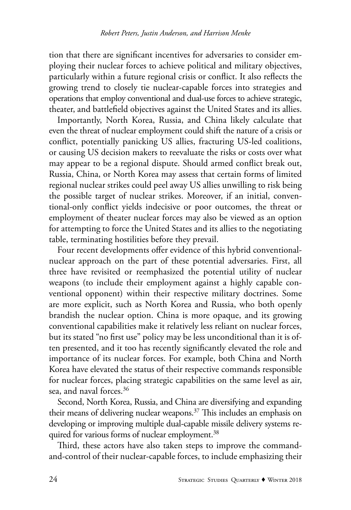tion that there are significant incentives for adversaries to consider employing their nuclear forces to achieve political and military objectives, particularly within a future regional crisis or conflict. It also reflects the growing trend to closely tie nuclear-capable forces into strategies and operations that employ conventional and dual-use forces to achieve strategic, theater, and battlefield objectives against the United States and its allies.

Importantly, North Korea, Russia, and China likely calculate that even the threat of nuclear employment could shift the nature of a crisis or conflict, potentially panicking US allies, fracturing US-led coalitions, or causing US decision makers to reevaluate the risks or costs over what may appear to be a regional dispute. Should armed conflict break out, Russia, China, or North Korea may assess that certain forms of limited regional nuclear strikes could peel away US allies unwilling to risk being the possible target of nuclear strikes. Moreover, if an initial, conventional-only conflict yields indecisive or poor outcomes, the threat or employment of theater nuclear forces may also be viewed as an option for attempting to force the United States and its allies to the negotiating table, terminating hostilities before they prevail.

Four recent developments offer evidence of this hybrid conventionalnuclear approach on the part of these potential adversaries. First, all three have revisited or reemphasized the potential utility of nuclear weapons (to include their employment against a highly capable conventional opponent) within their respective military doctrines. Some are more explicit, such as North Korea and Russia, who both openly brandish the nuclear option. China is more opaque, and its growing conventional capabilities make it relatively less reliant on nuclear forces, but its stated "no first use" policy may be less unconditional than it is often presented, and it too has recently significantly elevated the role and importance of its nuclear forces. For example, both China and North Korea have elevated the status of their respective commands responsible for nuclear forces, placing strategic capabilities on the same level as air, sea, and naval forces.<sup>36</sup>

Second, North Korea, Russia, and China are diversifying and expanding their means of delivering nuclear weapons.<sup>37</sup> This includes an emphasis on developing or improving multiple dual-capable missile delivery systems required for various forms of nuclear employment.<sup>38</sup>

Third, these actors have also taken steps to improve the commandand-control of their nuclear-capable forces, to include emphasizing their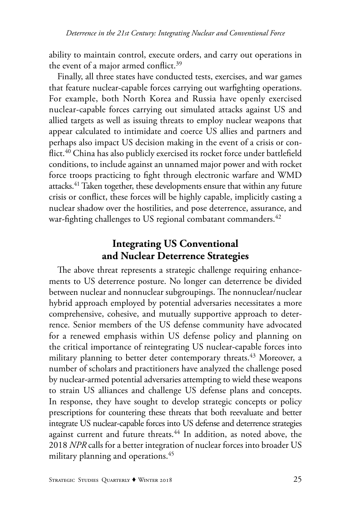ability to maintain control, execute orders, and carry out operations in the event of a major armed conflict.<sup>39</sup>

Finally, all three states have conducted tests, exercises, and war games that feature nuclear-capable forces carrying out warfighting operations. For example, both North Korea and Russia have openly exercised nuclear-capable forces carrying out simulated attacks against US and allied targets as well as issuing threats to employ nuclear weapons that appear calculated to intimidate and coerce US allies and partners and perhaps also impact US decision making in the event of a crisis or conflict.<sup>40</sup> China has also publicly exercised its rocket force under battlefield conditions, to include against an unnamed major power and with rocket force troops practicing to fight through electronic warfare and WMD attacks.41 Taken together, these developments ensure that within any future crisis or conflict, these forces will be highly capable, implicitly casting a nuclear shadow over the hostilities, and pose deterrence, assurance, and war-fighting challenges to US regional combatant commanders.<sup>42</sup>

# **Integrating US Conventional and Nuclear Deterrence Strategies**

The above threat represents a strategic challenge requiring enhancements to US deterrence posture. No longer can deterrence be divided between nuclear and nonnuclear subgroupings. The nonnuclear/nuclear hybrid approach employed by potential adversaries necessitates a more comprehensive, cohesive, and mutually supportive approach to deterrence. Senior members of the US defense community have advocated for a renewed emphasis within US defense policy and planning on the critical importance of reintegrating US nuclear-capable forces into military planning to better deter contemporary threats.<sup>43</sup> Moreover, a number of scholars and practitioners have analyzed the challenge posed by nuclear-armed potential adversaries attempting to wield these weapons to strain US alliances and challenge US defense plans and concepts. In response, they have sought to develop strategic concepts or policy prescriptions for countering these threats that both reevaluate and better integrate US nuclear-capable forces into US defense and deterrence strategies against current and future threats.<sup>44</sup> In addition, as noted above, the 2018 *NPR* calls for a better integration of nuclear forces into broader US military planning and operations.<sup>45</sup>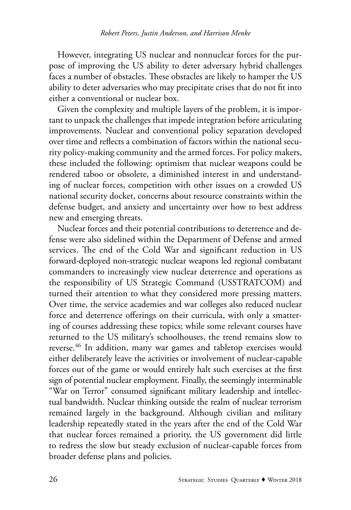However, integrating US nuclear and nonnuclear forces for the purpose of improving the US ability to deter adversary hybrid challenges faces a number of obstacles. These obstacles are likely to hamper the US ability to deter adversaries who may precipitate crises that do not fit into either a conventional or nuclear box.

Given the complexity and multiple layers of the problem, it is important to unpack the challenges that impede integration before articulating improvements. Nuclear and conventional policy separation developed over time and reflects a combination of factors within the national security policy-making community and the armed forces. For policy makers, these included the following: optimism that nuclear weapons could be rendered taboo or obsolete, a diminished interest in and understanding of nuclear forces, competition with other issues on a crowded US national security docket, concerns about resource constraints within the defense budget, and anxiety and uncertainty over how to best address new and emerging threats.

Nuclear forces and their potential contributions to deterrence and defense were also sidelined within the Department of Defense and armed services. The end of the Cold War and significant reduction in US forward-deployed non-strategic nuclear weapons led regional combatant commanders to increasingly view nuclear deterrence and operations as the responsibility of US Strategic Command (USSTRATCOM) and turned their attention to what they considered more pressing matters. Over time, the service academies and war colleges also reduced nuclear force and deterrence offerings on their curricula, with only a smattering of courses addressing these topics; while some relevant courses have returned to the US military's schoolhouses, the trend remains slow to reverse.<sup>46</sup> In addition, many war games and tabletop exercises would either deliberately leave the activities or involvement of nuclear-capable forces out of the game or would entirely halt such exercises at the first sign of potential nuclear employment. Finally, the seemingly interminable "War on Terror" consumed significant military leadership and intellectual bandwidth. Nuclear thinking outside the realm of nuclear terrorism remained largely in the background. Although civilian and military leadership repeatedly stated in the years after the end of the Cold War that nuclear forces remained a priority, the US government did little to redress the slow but steady exclusion of nuclear-capable forces from broader defense plans and policies.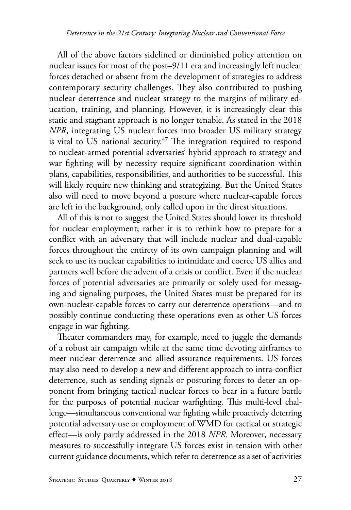All of the above factors sidelined or diminished policy attention on nuclear issues for most of the post–9/11 era and increasingly left nuclear forces detached or absent from the development of strategies to address contemporary security challenges. They also contributed to pushing nuclear deterrence and nuclear strategy to the margins of military education, training, and planning. However, it is increasingly clear this static and stagnant approach is no longer tenable. As stated in the 2018 *NPR*, integrating US nuclear forces into broader US military strategy is vital to US national security.<sup>47</sup> The integration required to respond to nuclear-armed potential adversaries' hybrid approach to strategy and war fighting will by necessity require significant coordination within plans, capabilities, responsibilities, and authorities to be successful. This will likely require new thinking and strategizing. But the United States also will need to move beyond a posture where nuclear-capable forces are left in the background, only called upon in the direst situations.

All of this is not to suggest the United States should lower its threshold for nuclear employment; rather it is to rethink how to prepare for a conflict with an adversary that will include nuclear and dual-capable forces throughout the entirety of its own campaign planning and will seek to use its nuclear capabilities to intimidate and coerce US allies and partners well before the advent of a crisis or conflict. Even if the nuclear forces of potential adversaries are primarily or solely used for messaging and signaling purposes, the United States must be prepared for its own nuclear-capable forces to carry out deterrence operations—and to possibly continue conducting these operations even as other US forces engage in war fighting.

Theater commanders may, for example, need to juggle the demands of a robust air campaign while at the same time devoting airframes to meet nuclear deterrence and allied assurance requirements. US forces may also need to develop a new and different approach to intra-conflict deterrence, such as sending signals or posturing forces to deter an opponent from bringing tactical nuclear forces to bear in a future battle for the purposes of potential nuclear warfighting. This multi-level challenge—simultaneous conventional war fighting while proactively deterring potential adversary use or employment of WMD for tactical or strategic effect—is only partly addressed in the 2018 *NPR*. Moreover, necessary measures to successfully integrate US forces exist in tension with other current guidance documents, which refer to deterrence as a set of activities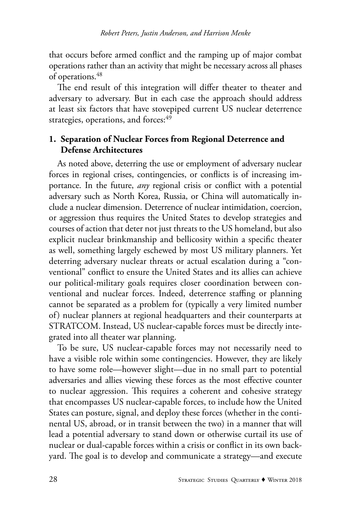that occurs before armed conflict and the ramping up of major combat operations rather than an activity that might be necessary across all phases of operations.<sup>48</sup>

The end result of this integration will differ theater to theater and adversary to adversary. But in each case the approach should address at least six factors that have stovepiped current US nuclear deterrence strategies, operations, and forces:<sup>49</sup>

### **1. Separation of Nuclear Forces from Regional Deterrence and Defense Architectures**

As noted above, deterring the use or employment of adversary nuclear forces in regional crises, contingencies, or conflicts is of increasing importance. In the future, *any* regional crisis or conflict with a potential adversary such as North Korea, Russia, or China will automatically include a nuclear dimension. Deterrence of nuclear intimidation, coercion, or aggression thus requires the United States to develop strategies and courses of action that deter not just threats to the US homeland, but also explicit nuclear brinkmanship and bellicosity within a specific theater as well, something largely eschewed by most US military planners. Yet deterring adversary nuclear threats or actual escalation during a "conventional" conflict to ensure the United States and its allies can achieve our political-military goals requires closer coordination between conventional and nuclear forces. Indeed, deterrence staffing or planning cannot be separated as a problem for (typically a very limited number of) nuclear planners at regional headquarters and their counterparts at STRATCOM. Instead, US nuclear-capable forces must be directly integrated into all theater war planning.

To be sure, US nuclear-capable forces may not necessarily need to have a visible role within some contingencies. However, they are likely to have some role—however slight—due in no small part to potential adversaries and allies viewing these forces as the most effective counter to nuclear aggression. This requires a coherent and cohesive strategy that encompasses US nuclear-capable forces, to include how the United States can posture, signal, and deploy these forces (whether in the continental US, abroad, or in transit between the two) in a manner that will lead a potential adversary to stand down or otherwise curtail its use of nuclear or dual-capable forces within a crisis or conflict in its own backyard. The goal is to develop and communicate a strategy—and execute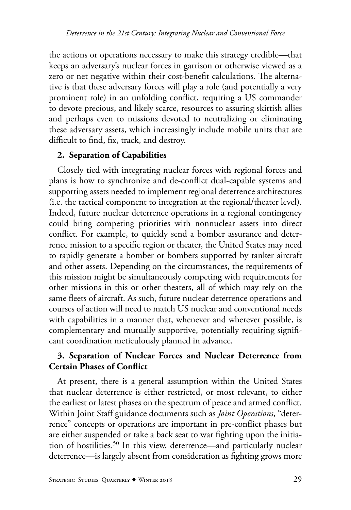the actions or operations necessary to make this strategy credible—that keeps an adversary's nuclear forces in garrison or otherwise viewed as a zero or net negative within their cost-benefit calculations. The alternative is that these adversary forces will play a role (and potentially a very prominent role) in an unfolding conflict, requiring a US commander to devote precious, and likely scarce, resources to assuring skittish allies and perhaps even to missions devoted to neutralizing or eliminating these adversary assets, which increasingly include mobile units that are difficult to find, fix, track, and destroy.

#### **2. Separation of Capabilities**

Closely tied with integrating nuclear forces with regional forces and plans is how to synchronize and de-conflict dual-capable systems and supporting assets needed to implement regional deterrence architectures (i.e. the tactical component to integration at the regional/theater level). Indeed, future nuclear deterrence operations in a regional contingency could bring competing priorities with nonnuclear assets into direct conflict. For example, to quickly send a bomber assurance and deterrence mission to a specific region or theater, the United States may need to rapidly generate a bomber or bombers supported by tanker aircraft and other assets. Depending on the circumstances, the requirements of this mission might be simultaneously competing with requirements for other missions in this or other theaters, all of which may rely on the same fleets of aircraft. As such, future nuclear deterrence operations and courses of action will need to match US nuclear and conventional needs with capabilities in a manner that, whenever and wherever possible, is complementary and mutually supportive, potentially requiring significant coordination meticulously planned in advance.

#### **3. Separation of Nuclear Forces and Nuclear Deterrence from Certain Phases of Conflict**

At present, there is a general assumption within the United States that nuclear deterrence is either restricted, or most relevant, to either the earliest or latest phases on the spectrum of peace and armed conflict. Within Joint Staff guidance documents such as *Joint Operations*, "deterrence" concepts or operations are important in pre-conflict phases but are either suspended or take a back seat to war fighting upon the initiation of hostilities.50 In this view, deterrence—and particularly nuclear deterrence—is largely absent from consideration as fighting grows more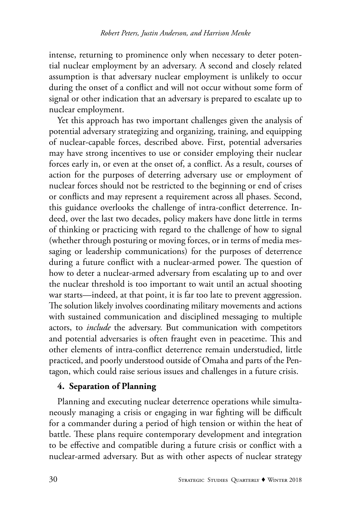intense, returning to prominence only when necessary to deter potential nuclear employment by an adversary. A second and closely related assumption is that adversary nuclear employment is unlikely to occur during the onset of a conflict and will not occur without some form of signal or other indication that an adversary is prepared to escalate up to nuclear employment.

Yet this approach has two important challenges given the analysis of potential adversary strategizing and organizing, training, and equipping of nuclear-capable forces, described above. First, potential adversaries may have strong incentives to use or consider employing their nuclear forces early in, or even at the onset of, a conflict. As a result, courses of action for the purposes of deterring adversary use or employment of nuclear forces should not be restricted to the beginning or end of crises or conflicts and may represent a requirement across all phases. Second, this guidance overlooks the challenge of intra-conflict deterrence. Indeed, over the last two decades, policy makers have done little in terms of thinking or practicing with regard to the challenge of how to signal (whether through posturing or moving forces, or in terms of media messaging or leadership communications) for the purposes of deterrence during a future conflict with a nuclear-armed power. The question of how to deter a nuclear-armed adversary from escalating up to and over the nuclear threshold is too important to wait until an actual shooting war starts—indeed, at that point, it is far too late to prevent aggression. The solution likely involves coordinating military movements and actions with sustained communication and disciplined messaging to multiple actors, to *include* the adversary. But communication with competitors and potential adversaries is often fraught even in peacetime. This and other elements of intra-conflict deterrence remain understudied, little practiced, and poorly understood outside of Omaha and parts of the Pentagon, which could raise serious issues and challenges in a future crisis.

#### **4. Separation of Planning**

Planning and executing nuclear deterrence operations while simultaneously managing a crisis or engaging in war fighting will be difficult for a commander during a period of high tension or within the heat of battle. These plans require contemporary development and integration to be effective and compatible during a future crisis or conflict with a nuclear-armed adversary. But as with other aspects of nuclear strategy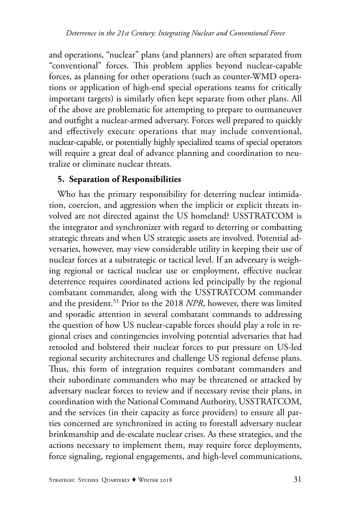and operations, "nuclear" plans (and planners) are often separated from "conventional" forces. This problem applies beyond nuclear-capable forces, as planning for other operations (such as counter-WMD operations or application of high-end special operations teams for critically important targets) is similarly often kept separate from other plans. All of the above are problematic for attempting to prepare to outmaneuver and outfight a nuclear-armed adversary. Forces well prepared to quickly and effectively execute operations that may include conventional, nuclear-capable, or potentially highly specialized teams of special operators will require a great deal of advance planning and coordination to neutralize or eliminate nuclear threats.

### **5. Separation of Responsibilities**

Who has the primary responsibility for deterring nuclear intimidation, coercion, and aggression when the implicit or explicit threats involved are not directed against the US homeland? USSTRATCOM is the integrator and synchronizer with regard to deterring or combatting strategic threats and when US strategic assets are involved. Potential adversaries, however, may view considerable utility in keeping their use of nuclear forces at a substrategic or tactical level. If an adversary is weighing regional or tactical nuclear use or employment, effective nuclear deterrence requires coordinated actions led principally by the regional combatant commander, along with the USSTRATCOM commander and the president.<sup>51</sup> Prior to the 2018 *NPR*, however, there was limited and sporadic attention in several combatant commands to addressing the question of how US nuclear-capable forces should play a role in regional crises and contingencies involving potential adversaries that had retooled and bolstered their nuclear forces to put pressure on US-led regional security architectures and challenge US regional defense plans. Thus, this form of integration requires combatant commanders and their subordinate commanders who may be threatened or attacked by adversary nuclear forces to review and if necessary revise their plans, in coordination with the National Command Authority, USSTRATCOM, and the services (in their capacity as force providers) to ensure all parties concerned are synchronized in acting to forestall adversary nuclear brinkmanship and de-escalate nuclear crises. As these strategies, and the actions necessary to implement them, may require force deployments, force signaling, regional engagements, and high-level communications,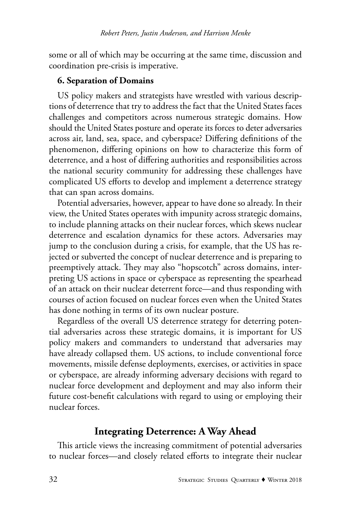some or all of which may be occurring at the same time, discussion and coordination pre-crisis is imperative.

#### **6. Separation of Domains**

US policy makers and strategists have wrestled with various descriptions of deterrence that try to address the fact that the United States faces challenges and competitors across numerous strategic domains. How should the United States posture and operate its forces to deter adversaries across air, land, sea, space, and cyberspace? Differing definitions of the phenomenon, differing opinions on how to characterize this form of deterrence, and a host of differing authorities and responsibilities across the national security community for addressing these challenges have complicated US efforts to develop and implement a deterrence strategy that can span across domains.

Potential adversaries, however, appear to have done so already. In their view, the United States operates with impunity across strategic domains, to include planning attacks on their nuclear forces, which skews nuclear deterrence and escalation dynamics for these actors. Adversaries may jump to the conclusion during a crisis, for example, that the US has rejected or subverted the concept of nuclear deterrence and is preparing to preemptively attack. They may also "hopscotch" across domains, interpreting US actions in space or cyberspace as representing the spearhead of an attack on their nuclear deterrent force—and thus responding with courses of action focused on nuclear forces even when the United States has done nothing in terms of its own nuclear posture.

Regardless of the overall US deterrence strategy for deterring potential adversaries across these strategic domains, it is important for US policy makers and commanders to understand that adversaries may have already collapsed them. US actions, to include conventional force movements, missile defense deployments, exercises, or activities in space or cyberspace, are already informing adversary decisions with regard to nuclear force development and deployment and may also inform their future cost-benefit calculations with regard to using or employing their nuclear forces.

### **Integrating Deterrence: A Way Ahead**

This article views the increasing commitment of potential adversaries to nuclear forces—and closely related efforts to integrate their nuclear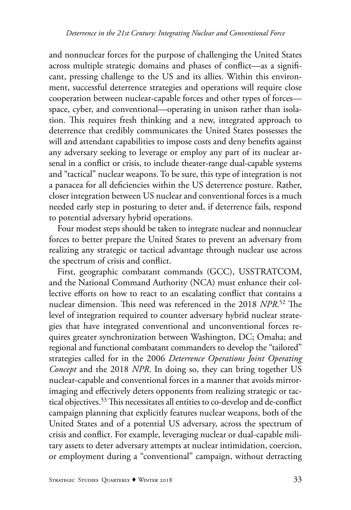and nonnuclear forces for the purpose of challenging the United States across multiple strategic domains and phases of conflict—as a significant, pressing challenge to the US and its allies. Within this environment, successful deterrence strategies and operations will require close cooperation between nuclear-capable forces and other types of forces space, cyber, and conventional—operating in unison rather than isolation. This requires fresh thinking and a new, integrated approach to deterrence that credibly communicates the United States possesses the will and attendant capabilities to impose costs and deny benefits against any adversary seeking to leverage or employ any part of its nuclear arsenal in a conflict or crisis, to include theater-range dual-capable systems and "tactical" nuclear weapons. To be sure, this type of integration is not a panacea for all deficiencies within the US deterrence posture. Rather, closer integration between US nuclear and conventional forces is a much needed early step in posturing to deter and, if deterrence fails, respond to potential adversary hybrid operations.

Four modest steps should be taken to integrate nuclear and nonnuclear forces to better prepare the United States to prevent an adversary from realizing any strategic or tactical advantage through nuclear use across the spectrum of crisis and conflict.

First, geographic combatant commands (GCC), USSTRATCOM, and the National Command Authority (NCA) must enhance their collective efforts on how to react to an escalating conflict that contains a nuclear dimension. This need was referenced in the 2018 *NPR*. 52 The level of integration required to counter adversary hybrid nuclear strategies that have integrated conventional and unconventional forces requires greater synchronization between Washington, DC; Omaha; and regional and functional combatant commanders to develop the "tailored" strategies called for in the 2006 *Deterrence Operations Joint Operating Concept* and the 2018 *NPR*. In doing so, they can bring together US nuclear-capable and conventional forces in a manner that avoids mirrorimaging and effectively deters opponents from realizing strategic or tactical objectives.<sup>53</sup> This necessitates all entities to co-develop and de-conflict campaign planning that explicitly features nuclear weapons, both of the United States and of a potential US adversary, across the spectrum of crisis and conflict. For example, leveraging nuclear or dual-capable military assets to deter adversary attempts at nuclear intimidation, coercion, or employment during a "conventional" campaign, without detracting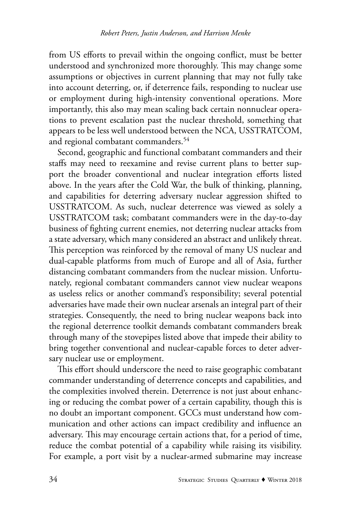from US efforts to prevail within the ongoing conflict, must be better understood and synchronized more thoroughly. This may change some assumptions or objectives in current planning that may not fully take into account deterring, or, if deterrence fails, responding to nuclear use or employment during high-intensity conventional operations. More importantly, this also may mean scaling back certain nonnuclear operations to prevent escalation past the nuclear threshold, something that appears to be less well understood between the NCA, USSTRATCOM, and regional combatant commanders.<sup>54</sup>

Second, geographic and functional combatant commanders and their staffs may need to reexamine and revise current plans to better support the broader conventional and nuclear integration efforts listed above. In the years after the Cold War, the bulk of thinking, planning, and capabilities for deterring adversary nuclear aggression shifted to USSTRATCOM. As such, nuclear deterrence was viewed as solely a USSTRATCOM task; combatant commanders were in the day-to-day business of fighting current enemies, not deterring nuclear attacks from a state adversary, which many considered an abstract and unlikely threat. This perception was reinforced by the removal of many US nuclear and dual-capable platforms from much of Europe and all of Asia, further distancing combatant commanders from the nuclear mission. Unfortunately, regional combatant commanders cannot view nuclear weapons as useless relics or another command's responsibility; several potential adversaries have made their own nuclear arsenals an integral part of their strategies. Consequently, the need to bring nuclear weapons back into the regional deterrence toolkit demands combatant commanders break through many of the stovepipes listed above that impede their ability to bring together conventional and nuclear-capable forces to deter adversary nuclear use or employment.

This effort should underscore the need to raise geographic combatant commander understanding of deterrence concepts and capabilities, and the complexities involved therein. Deterrence is not just about enhancing or reducing the combat power of a certain capability, though this is no doubt an important component. GCCs must understand how communication and other actions can impact credibility and influence an adversary. This may encourage certain actions that, for a period of time, reduce the combat potential of a capability while raising its visibility. For example, a port visit by a nuclear-armed submarine may increase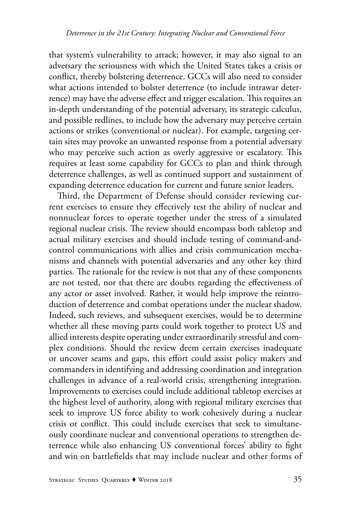that system's vulnerability to attack; however, it may also signal to an adversary the seriousness with which the United States takes a crisis or conflict, thereby bolstering deterrence. GCCs will also need to consider what actions intended to bolster deterrence (to include intrawar deterrence) may have the adverse effect and trigger escalation. This requires an in-depth understanding of the potential adversary, its strategic calculus, and possible redlines, to include how the adversary may perceive certain actions or strikes (conventional or nuclear). For example, targeting certain sites may provoke an unwanted response from a potential adversary who may perceive such action as overly aggressive or escalatory. This requires at least some capability for GCCs to plan and think through deterrence challenges, as well as continued support and sustainment of expanding deterrence education for current and future senior leaders.

Third, the Department of Defense should consider reviewing current exercises to ensure they effectively test the ability of nuclear and nonnuclear forces to operate together under the stress of a simulated regional nuclear crisis. The review should encompass both tabletop and actual military exercises and should include testing of command-andcontrol communications with allies and crisis communication mechanisms and channels with potential adversaries and any other key third parties. The rationale for the review is not that any of these components are not tested, nor that there are doubts regarding the effectiveness of any actor or asset involved. Rather, it would help improve the reintroduction of deterrence and combat operations under the nuclear shadow. Indeed, such reviews, and subsequent exercises, would be to determine whether all these moving parts could work together to protect US and allied interests despite operating under extraordinarily stressful and complex conditions. Should the review deem certain exercises inadequate or uncover seams and gaps, this effort could assist policy makers and commanders in identifying and addressing coordination and integration challenges in advance of a real-world crisis, strengthening integration. Improvements to exercises could include additional tabletop exercises at the highest level of authority, along with regional military exercises that seek to improve US force ability to work cohesively during a nuclear crisis or conflict. This could include exercises that seek to simultaneously coordinate nuclear and conventional operations to strengthen deterrence while also enhancing US conventional forces' ability to fight and win on battlefields that may include nuclear and other forms of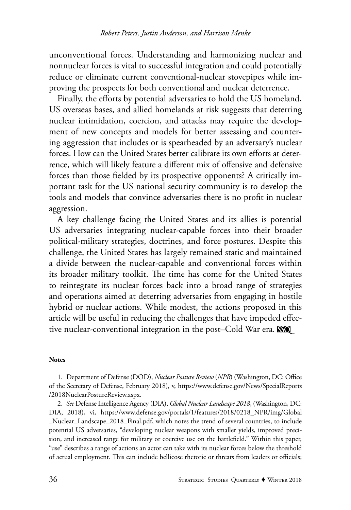unconventional forces. Understanding and harmonizing nuclear and nonnuclear forces is vital to successful integration and could potentially reduce or eliminate current conventional-nuclear stovepipes while improving the prospects for both conventional and nuclear deterrence.

Finally, the efforts by potential adversaries to hold the US homeland, US overseas bases, and allied homelands at risk suggests that deterring nuclear intimidation, coercion, and attacks may require the development of new concepts and models for better assessing and countering aggression that includes or is spearheaded by an adversary's nuclear forces. How can the United States better calibrate its own efforts at deterrence, which will likely feature a different mix of offensive and defensive forces than those fielded by its prospective opponents? A critically important task for the US national security community is to develop the tools and models that convince adversaries there is no profit in nuclear aggression.

A key challenge facing the United States and its allies is potential US adversaries integrating nuclear-capable forces into their broader political-military strategies, doctrines, and force postures. Despite this challenge, the United States has largely remained static and maintained a divide between the nuclear-capable and conventional forces within its broader military toolkit. The time has come for the United States to reintegrate its nuclear forces back into a broad range of strategies and operations aimed at deterring adversaries from engaging in hostile hybrid or nuclear actions. While modest, the actions proposed in this article will be useful in reducing the challenges that have impeded effective nuclear-conventional integration in the post–Cold War era. **NO** 

#### **Notes**

1. Department of Defense (DOD), *Nuclear Posture Review* (*NPR*) (Washington, DC: Office of the Secretary of Defense, February 2018), v, https://www.defense.gov/News/SpecialReports /2018NuclearPostureReview.aspx.

2. *See* Defense Intelligence Agency (DIA), *Global Nuclear Landscape 2018*, (Washington, DC: DIA, 2018), vi, https://www.defense.gov/portals/1/features/2018/0218\_NPR/img/Global \_Nuclear\_Landscape\_2018\_Final.pdf, which notes the trend of several countries, to include potential US adversaries, "developing nuclear weapons with smaller yields, improved precision, and increased range for military or coercive use on the battlefield." Within this paper, "use" describes a range of actions an actor can take with its nuclear forces below the threshold of actual employment. This can include bellicose rhetoric or threats from leaders or officials;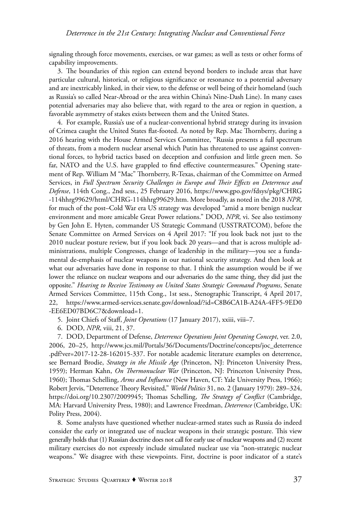signaling through force movements, exercises, or war games; as well as tests or other forms of capability improvements.

3. The boundaries of this region can extend beyond borders to include areas that have particular cultural, historical, or religious significance or resonance to a potential adversary and are inextricably linked, in their view, to the defense or well being of their homeland (such as Russia's so called Near-Abroad or the area within China's Nine-Dash Line). In many cases potential adversaries may also believe that, with regard to the area or region in question, a favorable asymmetry of stakes exists between them and the United States.

4. For example, Russia's use of a nuclear-conventional hybrid strategy during its invasion of Crimea caught the United States flat-footed. As noted by Rep. Mac Thornberry, during a 2016 hearing with the House Armed Services Committee, "Russia presents a full spectrum of threats, from a modern nuclear arsenal which Putin has threatened to use against conventional forces, to hybrid tactics based on deception and confusion and little green men. So far, NATO and the U.S. have grappled to find effective countermeasures." Opening statement of Rep. William M "Mac" Thornberry, R-Texas, chairman of the Committee on Armed Services, in *Full Spectrum Security Challenges in Europe and Their Effects on Deterrence and Defense*, 114th Cong., 2nd sess., 25 February 2016, https://www.gpo.gov/fdsys/pkg/CHRG -114hhrg99629/html/CHRG-114hhrg99629.htm. More broadly, as noted in the 2018 *NPR*, for much of the post–Cold War era US strategy was developed "amid a more benign nuclear environment and more amicable Great Power relations." DOD, *NPR*, vi. See also testimony by Gen John E. Hyten, commander US Strategic Command (USSTRATCOM), before the Senate Committee on Armed Services on 4 April 2017: "If you look back not just to the 2010 nuclear posture review, but if you look back 20 years—and that is across multiple administrations, multiple Congresses, change of leadership in the military—you see a fundamental de-emphasis of nuclear weapons in our national security strategy. And then look at what our adversaries have done in response to that. I think the assumption would be if we lower the reliance on nuclear weapons and our adversaries do the same thing, they did just the opposite." *Hearing to Receive Testimony on United States Strategic Command Programs*, Senate Armed Services Committee, 115th Cong., 1st sess., Stenographic Transcript, 4 April 2017, 22, https://www.armed-services.senate.gov/download/?id=C8B6CA1B-A24A-4FF5-9ED0 -EE6ED07BD6C7&download=1.

5. Joint Chiefs of Staff, *Joint Operations* (17 January 2017), xxiii, viii–7.

6. DOD, *NPR*, viii, 21, 37.

7. DOD, Department of Defense, *Deterrence Operations Joint Operating Concept*, ver. 2.0, 2006, 20–25, http://www.jcs.mil/Portals/36/Documents/Doctrine/concepts/joc\_deterrence .pdf?ver=2017-12-28-162015-337. For notable academic literature examples on deterrence, see Bernard Brodie, *Strategy in the Missile Age* (Princeton, NJ: Princeton University Press, 1959); Herman Kahn, *On Thermonuclear War* (Princeton, NJ: Princeton University Press, 1960); Thomas Schelling, *Arms and Influence* (New Haven, CT: Yale University Press, 1966); Robert Jervis, "Deterrence Theory Revisited," *World Politics* 31, no. 2 (January 1979): 289–324, https://doi.org/10.2307/2009945; Thomas Schelling, *The Strategy of Conflict* (Cambridge, MA: Harvard University Press, 1980); and Lawrence Freedman, *Deterrence* (Cambridge, UK: Polity Press, 2004).

8. Some analysts have questioned whether nuclear-armed states such as Russia do indeed consider the early or integrated use of nuclear weapons in their strategic posture. This view generally holds that (1) Russian doctrine does not call for early use of nuclear weapons and (2) recent military exercises do not expressly include simulated nuclear use via "non-strategic nuclear weapons." We disagree with these viewpoints. First, doctrine is poor indicator of a state's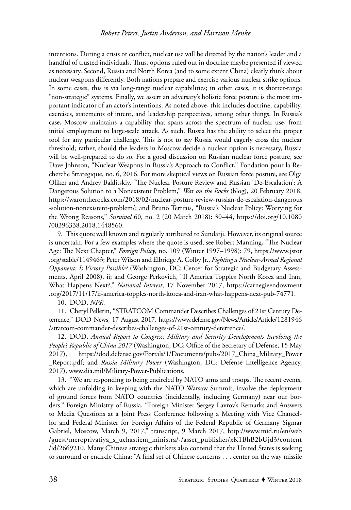intentions. During a crisis or conflict, nuclear use will be directed by the nation's leader and a handful of trusted individuals. Thus, options ruled out in doctrine maybe presented if viewed as necessary. Second, Russia and North Korea (and to some extent China) clearly think about nuclear weapons differently. Both nations prepare and exercise various nuclear strike options. In some cases, this is via long-range nuclear capabilities; in other cases, it is shorter-range "non-strategic" systems. Finally, we assert an adversary's holistic force posture is the most important indicator of an actor's intentions. As noted above, this includes doctrine, capability, exercises, statements of intent, and leadership perspectives, among other things. In Russia's case, Moscow maintains a capability that spans across the spectrum of nuclear use, from initial employment to large-scale attack. As such, Russia has the ability to select the proper tool for any particular challenge. This is not to say Russia would eagerly cross the nuclear threshold; rather, should the leaders in Moscow decide a nuclear option is necessary, Russia will be well-prepared to do so. For a good discussion on Russian nuclear force posture, see Dave Johnson, "Nuclear Weapons in Russia's Approach to Conflict," Fondation pour la Recherche Strategique, no. 6, 2016. For more skeptical views on Russian force posture, see Olga Oliker and Andrey Baklitskiy, "The Nuclear Posture Review and Russian 'De-Escalation': A Dangerous Solution to a Nonexistent Problem," *War on the Rocks* (blog), 20 February 2018, https://warontherocks.com/2018/02/nuclear-posture-review-russian-de-escalation-dangerous -solution-nonexistent-problem/; and Bruno Tertrais, "Russia's Nuclear Policy: Worrying for the Wrong Reasons," *Survival* 60, no. 2 (20 March 2018): 30–44, https://doi.org/10.1080 /00396338.2018.1448560.

9. This quote well known and regularly attributed to Sundarji. However, its original source is uncertain. For a few examples where the quote is used, see Robert Manning, "The Nuclear Age: The Next Chapter," *Foreign Policy*, no. 109 (Winter 1997–1998): 79, https://www.jstor .org/stable/1149463; Peter Wilson and Elbridge A. Colby Jr., *Fighting a Nuclear-Armed Regional Opponent: Is Victory Possible?* (Washington, DC: Center for Strategic and Budgetary Assessments, April 2008), ii; and George Perkovich, "If America Topples North Korea and Iran, What Happens Next?," *National Interest*, 17 November 2017, https://carnegieendowment .org/2017/11/17/if-america-topples-north-korea-and-iran-what-happens-next-pub-74771.

10. DOD, *NPR*.

11. Cheryl Pellerin, "STRATCOM Commander Describes Challenges of 21st Century Deterrence," DOD News, 17 August 2017, https://www.defense.gov/News/Article/Article/1281946 /stratcom-commander-describes-challenges-of-21st-century-deterrence/.

12. DOD, *Annual Report to Congress: Military and Security Developments Involving the People's Republic of China 2017* (Washington, DC: Office of the Secretary of Defense, 15 May 2017), https://dod.defense.gov/Portals/1/Documents/pubs/2017\_China\_Military\_Power \_Report.pdf; and *Russia Military Power* (Washington, DC: Defense Intelligence Agency, 2017), www.dia.mil/Military-Power-Publications.

13. "We are responding to being encircled by NATO arms and troops. The recent events, which are unfolding in keeping with the NATO Warsaw Summit, involve the deployment of ground forces from NATO countries (incidentally, including Germany) near our borders." Foreign Ministry of Russia, "Foreign Minister Sergey Lavrov's Remarks and Answers to Media Questions at a Joint Press Conference following a Meeting with Vice Chancellor and Federal Minister for Foreign Affairs of the Federal Republic of Germany Sigmar Gabriel, Moscow, March 9, 2017," transcript, 9 March 2017, http://www.mid.ru/en/web /guest/meropriyatiya\_s\_uchastiem\_ministra/-/asset\_publisher/xK1BhB2bUjd3/content /id/2669210. Many Chinese strategic thinkers also contend that the United States is seeking to surround or encircle China: "A final set of Chinese concerns . . . center on the way missile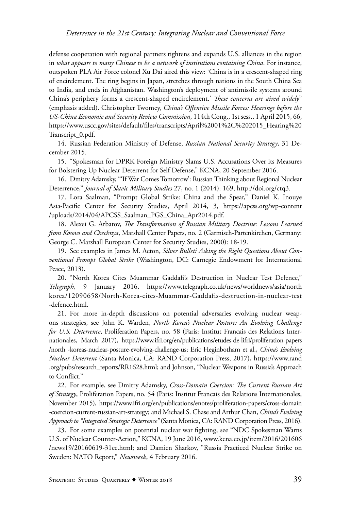defense cooperation with regional partners tightens and expands U.S. alliances in the region in *what appears to many Chinese to be a network of institutions containing China*. For instance, outspoken PLA Air Force colonel Xu Dai aired this view: 'China is in a crescent-shaped ring of encirclement. The ring begins in Japan, stretches through nations in the South China Sea to India, and ends in Afghanistan. Washington's deployment of antimissile systems around China's periphery forms a crescent-shaped encirclement.' *These concerns are aired widely*" (emphasis added). Christopher Twomey, *China's Offensive Missile Forces: Hearings before the US-China Economic and Security Review Commission*, 114th Cong., 1st sess., 1 April 2015, 66, https://www.uscc.gov/sites/default/files/transcripts/April%2001%2C%202015\_Hearing%20 Transcript\_0.pdf.

14. Russian Federation Ministry of Defense, *Russian National Security Strategy*, 31 December 2015.

15. "Spokesman for DPRK Foreign Ministry Slams U.S. Accusations Over its Measures for Bolstering Up Nuclear Deterrent for Self Defense," KCNA, 20 September 2016.

16. Dmitry Adamsky, "'If War Comes Tomorrow': Russian Thinking about Regional Nuclear Deterrence," *Journal of Slavic Military Studies* 27, no. 1 (2014): 169, http://doi.org/ctq3.

17. Lora Saalman, "Prompt Global Strike: China and the Spear," Daniel K. Inouye Asia-Pacific Center for Security Studies, April 2014, 3, https://apcss.org/wp-content /uploads/2014/04/APCSS\_Saalman\_PGS\_China\_Apr2014.pdf.

18. Alexei G. Arbatov, *The Transformation of Russian Military Doctrine: Lessons Learned from Kosovo and Chechnya*, Marshall Center Papers, no. 2 (Garmisch-Partenkirchen, Germany: George C. Marshall European Center for Security Studies, 2000): 18-19.

19. See examples in James M. Acton, *Silver Bullet? Asking the Right Questions About Conventional Prompt Global Strike* (Washington, DC: Carnegie Endowment for International Peace, 2013).

20. "North Korea Cites Muammar Gaddafi's Destruction in Nuclear Test Defence," *Telegraph*, 9 January 2016, https://www.telegraph.co.uk/news/worldnews/asia/north korea/12090658/North-Korea-cites-Muammar-Gaddafis-destruction-in-nuclear-test -defence.html.

21. For more in-depth discussions on potential adversaries evolving nuclear weapons strategies, see John K. Warden, *North Korea's Nuclear Posture: An Evolving Challenge for U.S. Deterrence*, Proliferation Papers, no. 58 (Paris: Institut Francais des Relations Internationales, March 2017), https://www.ifri.org/en/publications/etudes-de-lifri/proliferation-papers /north -koreas-nuclear-posture-evolving-challenge-us; Eric Heginbotham et al., *China's Evolving Nuclear Deterrent* (Santa Monica, CA: RAND Corporation Press, 2017), https://www.rand .org/pubs/research\_reports/RR1628.html; and Johnson, "Nuclear Weapons in Russia's Approach to Conflict."

22. For example, see Dmitry Adamsky, *Cross-Domain Coercion: The Current Russian Art of Strategy*, Proliferation Papers, no. 54 (Paris: Institut Francais des Relations Internationales, November 2015), https://www.ifri.org/en/publications/enotes/proliferation-papers/cross-domain -coercion-current-russian-art-strategy; and Michael S. Chase and Arthur Chan, *China's Evolving Approach to "Integrated Strategic Deterrence"* (Santa Monica, CA: RAND Corporation Press, 2016).

23. For some examples on potential nuclear war fighting, see "NDC Spokesman Warns U.S. of Nuclear Counter-Action," KCNA, 19 June 2016, www.kcna.co.jp/item/2016/201606 /news19/20160619-31ee.html; and Damien Sharkov, "Russia Practiced Nuclear Strike on Sweden: NATO Report," *Newsweek*, 4 February 2016.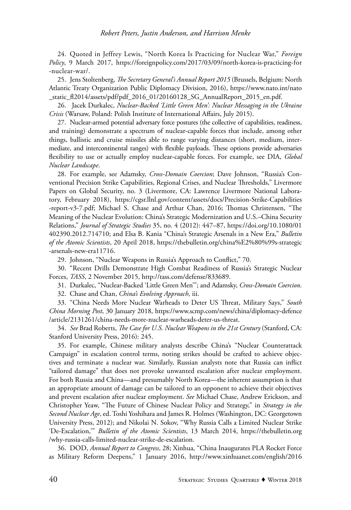24. Quoted in Jeffrey Lewis, "North Korea Is Practicing for Nuclear War," *Foreign Policy*, 9 March 2017, https://foreignpolicy.com/2017/03/09/north-korea-is-practicing-for -nuclear-war/.

25. Jens Stoltenberg, *The Secretary General's Annual Report 2015* (Brussels, Belgium: North Atlantic Treaty Organization Public Diplomacy Division, 2016), https://www.nato.int/nato \_static\_fl2014/assets/pdf/pdf\_2016\_01/20160128\_SG\_AnnualReport\_2015\_en.pdf.

26. Jacek Durkalec, *Nuclear-Backed 'Little Green Men': Nuclear Messaging in the Ukraine Crisis* (Warsaw, Poland: Polish Institute of International Affairs, July 2015).

27. Nuclear-armed potential adversary force postures (the collective of capabilities, readiness, and training) demonstrate a spectrum of nuclear-capable forces that include, among other things, ballistic and cruise missiles able to range varying distances (short, medium, intermediate, and intercontinental ranges) with flexible payloads. These options provide adversaries flexibility to use or actually employ nuclear-capable forces. For example, see DIA, *Global Nuclear Landscape*.

28. For example, see Adamsky, *Cross-Domain Coercion*; Dave Johnson, "Russia's Conventional Precision Strike Capabilities, Regional Crises, and Nuclear Thresholds," Livermore Papers on Global Security, no. 3 (Livermore, CA: Lawrence Livermore National Laboratory, February 2018), https://cgsr.llnl.gov/content/assets/docs/Precision-Strike-Capabilities -report-v3-7.pdf; Michael S. Chase and Arthur Chan, 2016; Thomas Christensen, "The Meaning of the Nuclear Evolution: China's Strategic Modernization and U.S.–China Security Relations," *Journal of Strategic Studies* 35, no. 4 (2012): 447–87, https://doi.org/10.1080/01 402390.2012.714710; and Elsa B. Kania "China's Strategic Arsenals in a New Era," *Bulletin of the Atomic Scientists*, 20 April 2018, https://thebulletin.org/china%E2%80%99s-strategic -arsenals-new-era11716.

29. Johnson, "Nuclear Weapons in Russia's Approach to Conflict," 70.

30. "Recent Drills Demonstrate High Combat Readiness of Russia's Strategic Nuclear Forces, *TASS*, 2 November 2015, http://tass.com/defense/833689.

31. Durkalec, "Nuclear-Backed 'Little Green Men'"; and Adamsky, *Cross-Domain Coercion*.

32. Chase and Chan, *China's Evolving Approach*, iii.

33. "China Needs More Nuclear Warheads to Deter US Threat, Military Says," *South China Morning Post*, 30 January 2018, https://www.scmp.com/news/china/diplomacy-defence /article/2131261/china-needs-more-nuclear-warheads-deter-us-threat.

34. *See* Brad Roberts, *The Case for U.S. Nuclear Weapons in the 21st Century* (Stanford, CA: Stanford University Press, 2016): 245.

35. For example, Chinese military analysts describe China's "Nuclear Counterattack Campaign" in escalation control terms, noting strikes should be crafted to achieve objectives and terminate a nuclear war. Similarly, Russian analysts note that Russia can inflict "tailored damage" that does not provoke unwanted escalation after nuclear employment. For both Russia and China—and presumably North Korea—the inherent assumption is that an appropriate amount of damage can be tailored to an opponent to achieve their objectives and prevent escalation after nuclear employment. *See* Michael Chase, Andrew Erickson, and Christopher Yeaw, "The Future of Chinese Nuclear Policy and Strategy," in *Strategy in the Second Nuclear Age*, ed. Toshi Yoshihara and James R. Holmes (Washington, DC: Georgetown University Press, 2012); and Nikolai N. Sokov, "Why Russia Calls a Limited Nuclear Strike 'De-Escalation,'" *Bulletin of the Atomic Scientists*, 13 March 2014, https://thebulletin.org /why-russia-calls-limited-nuclear-strike-de-escalation.

36. DOD, *Annual Report to Congress*, 28; Xinhua, "China Inaugurates PLA Rocket Force as Military Reform Deepens," 1 January 2016, http://www.xinhuanet.com/english/2016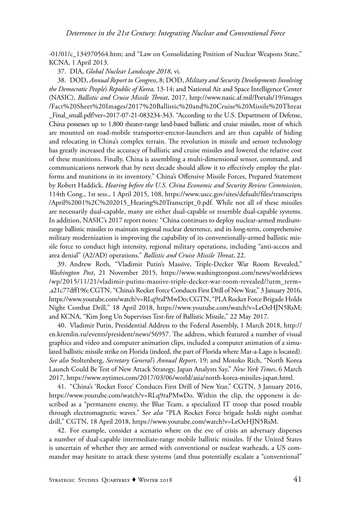-01/01/c\_134970564.htm; and "Law on Consolidating Position of Nuclear Weapons State," KCNA, 1 April 2013.

37. DIA, *Global Nuclear Landscape 2018*, vi.

38. DOD, *Annual Report to Congress*, 8; DOD, *Military and Security Developments Involving the Democratic People's Republic of Korea,* 13-14; and National Air and Space Intelligence Center (NASIC), *Ballistic and Cruise Missile Threat*, 2017, http://www.nasic.af.mil/Portals/19/images /Fact%20Sheet%20Images/2017%20Ballistic%20and%20Cruise%20Missile%20Threat \_Final\_small.pdf?ver=2017-07-21-083234-343. "According to the U.S. Department of Defense, China possesses up to 1,800 theater-range land-based ballistic and cruise missiles, most of which are mounted on road-mobile transporter-erector-launchers and are thus capable of hiding and relocating in China's complex terrain. The revolution in missile and sensor technology has greatly increased the accuracy of ballistic and cruise missiles and lowered the relative cost of these munitions. Finally, China is assembling a multi-dimensional sensor, command, and communications network that by next decade should allow it to effectively employ the platforms and munitions in its inventory." China's Offensive Missile Forces, Prepared Statement by Robert Haddick, *Hearing before the U.S. China Economic and Security Review Commission*, 114th Cong., 1st sess., 1 April 2015, 108, https://www.uscc.gov/sites/default/files/transcripts /April%2001%2C%202015\_Hearing%20Transcript\_0.pdf. While not all of these missiles are necessarily dual-capable, many are either dual-capable or resemble dual-capable systems. In addition, NASIC's 2017 report notes: "China continues to deploy nuclear-armed mediumrange ballistic missiles to maintain regional nuclear deterrence, and its long-term, comprehensive military modernization is improving the capability of its conventionally-armed ballistic missile force to conduct high intensity, regional military operations, including "anti-access and area denial" (A2/AD) operations." *Ballistic and Cruise Missile Threat*, 22.

39. Andrew Roth, "Vladimir Putin's Massive, Triple-Decker War Room Revealed," *Washington Post*, 21 November 2015, https://www.washingtonpost.com/news/worldviews /wp/2015/11/21/vladimir-putins-massive-triple-decker-war-room-revealed/?utm\_term= .a21c77dff196; CGTN, "China's Rocket Force Conducts First Drill of New Year," 3 January 2016, https://www.youtube.com/watch?v=RLq9raPMwDo; CGTN, "PLA Rocket Force Brigade Holds Night Combat Drill," 18 April 2018, https://www.youtube.com/watch?v=LeOeHJN5RsM; and KCNA, "Kim Jong Un Supervises Test-fire of Ballistic Missile," 22 May 2017.

40. Vladimir Putin, Presidential Address to the Federal Assembly, 1 March 2018, http:// en.kremlin.ru/events/president/news/56957. The address, which featured a number of visual graphics and video and computer animation clips, included a computer animation of a simulated ballistic missile strike on Florida (indeed, the part of Florida where Mar-a-Lago is located). *See also* Stoltenberg, *Secretary General's Annual Report*, 19; and Motoko Rich, "North Korea Launch Could Be Test of New Attack Strategy, Japan Analysts Say," *New York Times*, 6 March 2017, https://www.nytimes.com/2017/03/06/world/asia/north-korea-missiles-japan.html.

41. "China's 'Rocket Force' Conducts First Drill of New Year," CGTN, 3 January 2016, https://www.youtube.com/watch?v=RLq9raPMwDo. Within the clip, the opponent is described as a "permanent enemy, the Blue Team, a specialized IT troop that posed trouble through electromagnetic waves." S*ee also* "PLA Rocket Force brigade holds night combat drill," CGTN, 18 April 2018, https://www.youtube.com/watch?v=LeOeHJN5RsM.

42. For example, consider a scenario where on the eve of crisis an adversary disperses a number of dual-capable intermediate-range mobile ballistic missiles. If the United States is uncertain of whether they are armed with conventional or nuclear warheads, a US commander may hesitate to attack these systems (and thus potentially escalate a "conventional"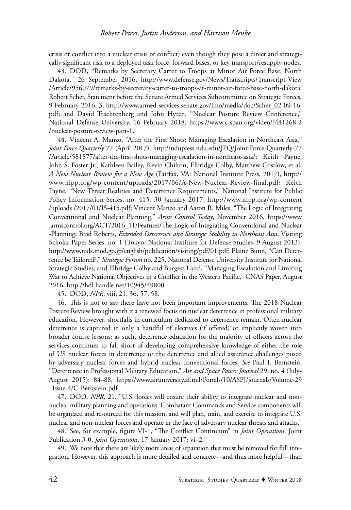crisis or conflict into a nuclear crisis or conflict) even though they pose a direct and strategically significant risk to a deployed task force, forward bases, or key transport/resupply nodes.

43. DOD, "Remarks by Secretary Carter to Troops at Minot Air Force Base, North Dakota," 26 September 2016, http://www.defense.gov/News/Transcripts/Transcript-View /Article/956079/remarks-by-secretary-carter-to-troops-at-minot-air-force-base-north-dakota; Robert Scher, Statement before the Senate Armed Services Subcommittee on Strategic Forces, 9 February 2016, 3, http://www.armed-services.senate.gov/imo/media/doc/Scher\_02-09-16. pdf; and David Trachtenberg and John Hyten, "Nuclear Posture Review Conference," National Defense University, 16 February 2018, https://www.c-span.org/video/?441268-2 /nuclear-posture-review-part-1.

44. Vincent A. Manzo, "After the First Shots: Managing Escalation in Northeast Asia," *Joint Force Quarterly* 77 (April 2017), http://ndupress.ndu.edu/JFQ/Joint-Force-Quarterly-77 /Article/581877/after-the-first-shots-managing-escalation-in-northeast-asia/; Keith Payne, John S. Foster Jr., Kathleen Bailey, Kevin Chilton, Elbridge Colby, Matthew Costlow, et al, *A New Nuclear Review for a New Age* (Fairfax, VA: National Institute Press, 2017), http:// www.nipp.org/wp-content/uploads/2017/06/A-New-Nuclear-Review-final.pdf; Keith Payne, "New Threat Realities and Deterrence Requirements," National Institute for Public Policy Information Series, no. 415, 30 January 2017, http://www.nipp.org/wp-content /uploads /2017/01/IS-415.pdf; Vincent Manzo and Aaron R. Miles, "The Logic of Integrating Conventional and Nuclear Planning," *Arms Control Today*, November 2016, https://www .armscontrol.org/ACT/2016\_11/Features/The-Logic-of-Integrating-Conventional-and-Nuclear -Planning; Brad Roberts, *Extended Deterrence and Strategic Stability in Northeast Asia*, Visiting Scholar Paper Series, no. 1 (Tokyo: National Institute for Defense Studies, 9 August 2013), http://www.nids.mod.go.jp/english/publication/visiting/pdf/01.pdf; Elaine Bunn, "Can Deterrence be Tailored?," *Strategic Forum* no. 225, National Defense University Institute for National Strategic Studies; and Elbridge Colby and Burgess Laird, "Managing Escalation and Limiting War to Achieve National Objectives in a Conflict in the Western Pacific," CNAS Paper, August 2016, http://hdl.handle.net/10945/49800.

45. DOD, *NPR*, viii, 21, 36, 57, 58.

46. This is not to say there have not been important improvements. The 2018 Nuclear Posture Review brought with it a renewed focus on nuclear deterrence in professional military education. However, shortfalls in curriculum dedicated to deterrence remain. Often nuclear deterrence is captured in only a handful of electives (if offered) or implicitly woven into broader course lessons; as such, deterrence education for the majority of officers across the services continues to fall short of developing comprehensive knowledge of either the role of US nuclear forces in deterrence or the deterrence and allied assurance challenges posed by adversary nuclear forces and hybrid nuclear-conventional forces. *See* Paul I. Bernstein, "Deterrence in Professional Military Education," *Air and Space Power Journal* 29, no. 4 (July-August 2015): 84–88, https://www.airuniversity.af.mil/Portals/10/ASPJ/journals/Volume-29 \_Issue-4/C-Bernstein.pdf.

47. DOD, *NPR*, 21. "U.S. forces will ensure their ability to integrate nuclear and nonnuclear military planning and operations. Combatant Commands and Service components will be organized and resourced for this mission, and will plan, train, and exercise to integrate U.S. nuclear and non-nuclear forces and operate in the face of adversary nuclear threats and attacks."

48. See, for example, figure VI-1, "The Conflict Continuum" in *Joint Operations*. Joint Publication 3-0, *Joint Operations*, 17 January 2017: vi–2.

49. We note that there are likely more areas of separation that must be removed for full integration. However, this approach is more detailed and concrete—and thus more helpful—than